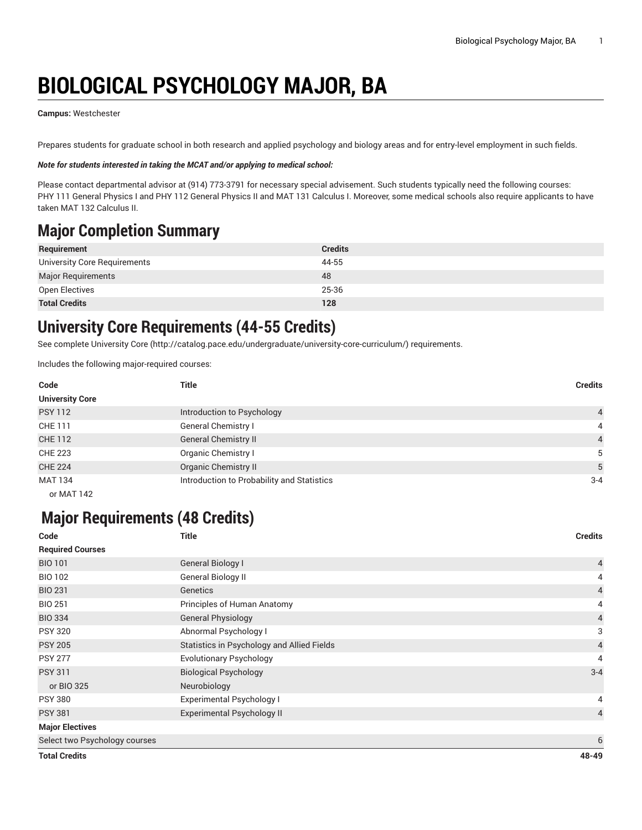# **BIOLOGICAL PSYCHOLOGY MAJOR, BA**

#### **Campus:** Westchester

Prepares students for graduate school in both research and applied psychology and biology areas and for entry-level employment in such fields.

#### *Note for students interested in taking the MCAT and/or applying to medical school:*

Please contact departmental advisor at (914) 773-3791 for necessary special advisement. Such students typically need the following courses: PHY 111 General Physics I and PHY 112 General Physics II and MAT 131 Calculus I. Moreover, some medical schools also require applicants to have taken MAT 132 Calculus II.

### **Major Completion Summary**

| Requirement                  | <b>Credits</b> |
|------------------------------|----------------|
| University Core Requirements | 44-55          |
| <b>Major Requirements</b>    | 48             |
| Open Electives               | 25-36          |
| <b>Total Credits</b>         | 128            |

### **University Core Requirements (44-55 Credits)**

See complete [University](http://catalog.pace.edu/undergraduate/university-core-curriculum/) Core (<http://catalog.pace.edu/undergraduate/university-core-curriculum/>) requirements.

Includes the following major-required courses:

| Code                                                       | <b>Title</b>                               | <b>Credits</b> |
|------------------------------------------------------------|--------------------------------------------|----------------|
| <b>University Core</b>                                     |                                            |                |
| <b>PSY 112</b>                                             | Introduction to Psychology                 | $\overline{4}$ |
| CHE 111                                                    | General Chemistry I                        | 4              |
| <b>CHE 112</b>                                             | <b>General Chemistry II</b>                | $\overline{4}$ |
| <b>CHE 223</b>                                             | Organic Chemistry I                        | 5              |
| <b>CHE 224</b>                                             | <b>Organic Chemistry II</b>                | 5              |
| <b>MAT 134</b>                                             | Introduction to Probability and Statistics | $3 - 4$        |
| $\mathbf{A} \mathbf{A} \mathbf{A} + \mathbf{A} \mathbf{A}$ |                                            |                |

#### or MAT 142

### **Major Requirements (48 Credits)**

| Code                          | <b>Title</b>                               | <b>Credits</b> |
|-------------------------------|--------------------------------------------|----------------|
| <b>Required Courses</b>       |                                            |                |
| <b>BIO 101</b>                | <b>General Biology I</b>                   | $\overline{4}$ |
| <b>BIO 102</b>                | General Biology II                         | 4              |
| <b>BIO 231</b>                | Genetics                                   | $\overline{4}$ |
| <b>BIO 251</b>                | Principles of Human Anatomy                | 4              |
| <b>BIO 334</b>                | <b>General Physiology</b>                  | $\overline{a}$ |
| <b>PSY 320</b>                | Abnormal Psychology I                      | 3              |
| <b>PSY 205</b>                | Statistics in Psychology and Allied Fields | $\overline{4}$ |
| <b>PSY 277</b>                | <b>Evolutionary Psychology</b>             | 4              |
| <b>PSY 311</b>                | <b>Biological Psychology</b>               | $3 - 4$        |
| or BIO 325                    | Neurobiology                               |                |
| <b>PSY 380</b>                | Experimental Psychology I                  | 4              |
| <b>PSY 381</b>                | Experimental Psychology II                 | $\overline{4}$ |
| <b>Major Electives</b>        |                                            |                |
| Select two Psychology courses |                                            | 6              |
| <b>Total Credits</b>          |                                            | 48-49          |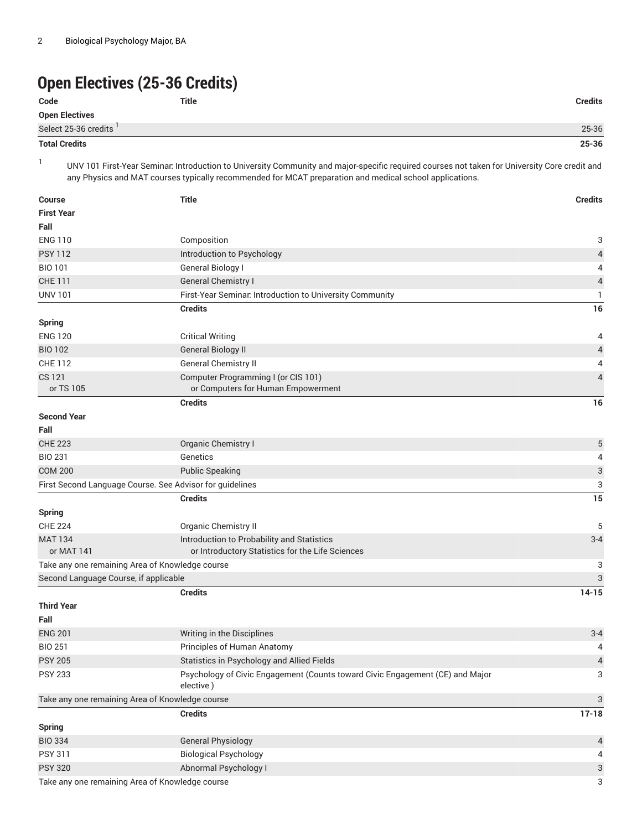## **Open Electives (25-36 Credits)**

| Code                   | Title | <b>Credits</b> |
|------------------------|-------|----------------|
| Open Electives         |       |                |
| Select 25-36 credits ' |       | 25-36          |
|                        |       |                |

### **Total Credits 25-36**

1

UNV 101 First-Year Seminar: Introduction to University Community and major-specific required courses not taken for University Core credit and any Physics and MAT courses typically recommended for MCAT preparation and medical school applications.

| <b>Course</b>                                            | <b>Title</b>                                                                               | <b>Credits</b>            |
|----------------------------------------------------------|--------------------------------------------------------------------------------------------|---------------------------|
| <b>First Year</b>                                        |                                                                                            |                           |
| Fall                                                     |                                                                                            |                           |
| <b>ENG 110</b>                                           | Composition                                                                                | 3                         |
| <b>PSY 112</b>                                           | Introduction to Psychology                                                                 | 4                         |
| <b>BIO 101</b>                                           | General Biology I                                                                          | 4                         |
| <b>CHE 111</b>                                           | <b>General Chemistry I</b>                                                                 | 4                         |
| <b>UNV 101</b>                                           | First-Year Seminar. Introduction to University Community                                   | 1                         |
|                                                          | <b>Credits</b>                                                                             | 16                        |
| <b>Spring</b>                                            |                                                                                            |                           |
| <b>ENG 120</b>                                           | <b>Critical Writing</b>                                                                    | 4                         |
| <b>BIO 102</b>                                           | <b>General Biology II</b>                                                                  | $\overline{a}$            |
| <b>CHE 112</b>                                           | General Chemistry II                                                                       | 4                         |
| CS 121                                                   | Computer Programming I (or CIS 101)                                                        | $\overline{4}$            |
| or TS 105                                                | or Computers for Human Empowerment                                                         |                           |
|                                                          | <b>Credits</b>                                                                             | 16                        |
| <b>Second Year</b>                                       |                                                                                            |                           |
| Fall                                                     |                                                                                            |                           |
| <b>CHE 223</b>                                           | Organic Chemistry I                                                                        | 5                         |
| <b>BIO 231</b>                                           | Genetics                                                                                   | 4                         |
| <b>COM 200</b>                                           | <b>Public Speaking</b>                                                                     | 3                         |
| First Second Language Course. See Advisor for guidelines |                                                                                            | 3                         |
|                                                          | <b>Credits</b>                                                                             | 15                        |
| Spring                                                   |                                                                                            |                           |
| <b>CHE 224</b>                                           | <b>Organic Chemistry II</b>                                                                | 5                         |
| <b>MAT 134</b>                                           | Introduction to Probability and Statistics                                                 | $3 - 4$                   |
| or MAT 141                                               | or Introductory Statistics for the Life Sciences                                           |                           |
| Take any one remaining Area of Knowledge course          |                                                                                            | 3                         |
| Second Language Course, if applicable                    |                                                                                            | 3                         |
|                                                          | <b>Credits</b>                                                                             | $14 - 15$                 |
| <b>Third Year</b>                                        |                                                                                            |                           |
| Fall                                                     |                                                                                            |                           |
| <b>ENG 201</b>                                           | Writing in the Disciplines                                                                 | $3 - 4$                   |
| <b>BIO 251</b>                                           | Principles of Human Anatomy                                                                | 4                         |
| <b>PSY 205</b>                                           | Statistics in Psychology and Allied Fields                                                 | $\overline{\mathcal{L}}$  |
| <b>PSY 233</b>                                           | Psychology of Civic Engagement (Counts toward Civic Engagement (CE) and Major<br>elective) | 3                         |
| Take any one remaining Area of Knowledge course          |                                                                                            | $\ensuremath{\mathsf{3}}$ |
|                                                          | <b>Credits</b>                                                                             | $17 - 18$                 |
| <b>Spring</b>                                            |                                                                                            |                           |
| <b>BIO 334</b>                                           | <b>General Physiology</b>                                                                  | 4                         |
| <b>PSY 311</b>                                           | <b>Biological Psychology</b>                                                               | 4                         |
| <b>PSY 320</b>                                           | Abnormal Psychology I                                                                      | 3                         |
| Take any one remaining Area of Knowledge course          |                                                                                            |                           |